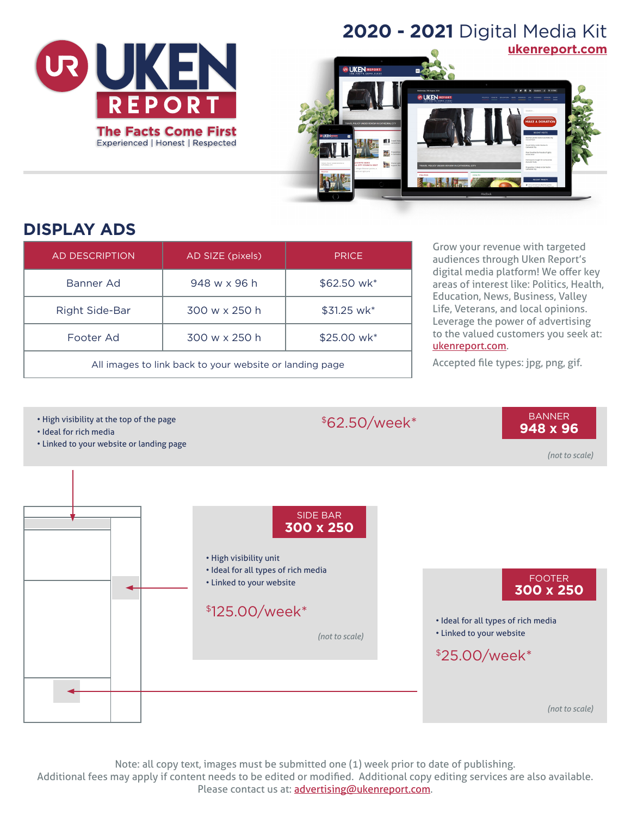

# **2020 - 2021** Digital Media Kit



# **DISPLAY ADS**

| <b>AD DESCRIPTION</b>                                   | AD SIZE (pixels) | <b>PRICE</b> |
|---------------------------------------------------------|------------------|--------------|
| Banner Ad                                               | 948 w x 96 h     | \$62.50 wk*  |
| Right Side-Bar                                          | 300 w x 250 h    | \$31.25 wk*  |
| Footer Ad                                               | 300 w x 250 h    | \$25.00 wk*  |
| All images to link back to your website or landing page |                  |              |

Grow your revenue with targeted audiences through Uken Report's digital media platform! We offer key areas of interest like: Politics, Health, Education, News, Business, Valley Life, Veterans, and local opinions. Leverage the power of advertising to the valued customers you seek at: [ukenreport.com](https://ukenreport.com).

Accepted file types: jpg, png, gif.



Note: all copy text, images must be submitted one (1) week prior to date of publishing. Additional fees may apply if content needs to be edited or modified. Additional copy editing services are also available. Please contact us at: [advertising@ukenreport.com](mailto:advertising%40ukenreport.com?subject=).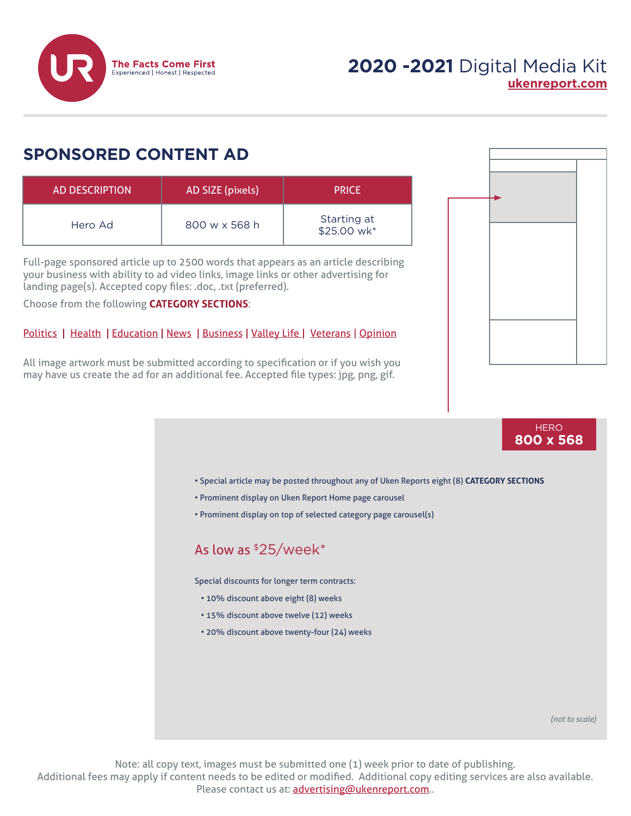

### **SPONSORED CONTENT AD**

| AD DESCRIPTION | AD SIZE (pixels) | <b>PRICE</b>               |
|----------------|------------------|----------------------------|
| Hero Ad        | 800 w x 568 h    | Starting at<br>\$25.00 wk* |

Full-page sponsored article up to 2500 words that appears as an article describing your business with ability to ad video links, image links or other advertising for landing page(s). Accepted copy files: .doc, .txt (preferred).

Choose from the following **CATEGORY SECTIONS**:

#### [Politics](https://ukenreport.com/category/politics/) | [Health](https://ukenreport.com/category/health/) | [Education](https://ukenreport.com/category/education/) | [News](https://ukenreport.com/category/news/) | [Business](https://ukenreport.com/category/business/) | [Valley Life |](https://ukenreport.com/category/valley-life/) [Veterans](https://ukenreport.com/category/veterans/) | [Opinion](https://ukenreport.com/category/opinion/)

All image artwork must be submitted according to specification or if you wish you may have us create the ad for an additional fee. Accepted file types: jpg, png, gif.





Note: all copy text, images must be submitted one (1) week prior to date of publishing. Additional fees may apply if content needs to be edited or modified. Additional copy editing services are also available. Please contact us at: [advertising@ukenreport.com](mailto:advertising%40ukenreport.com?subject=)..